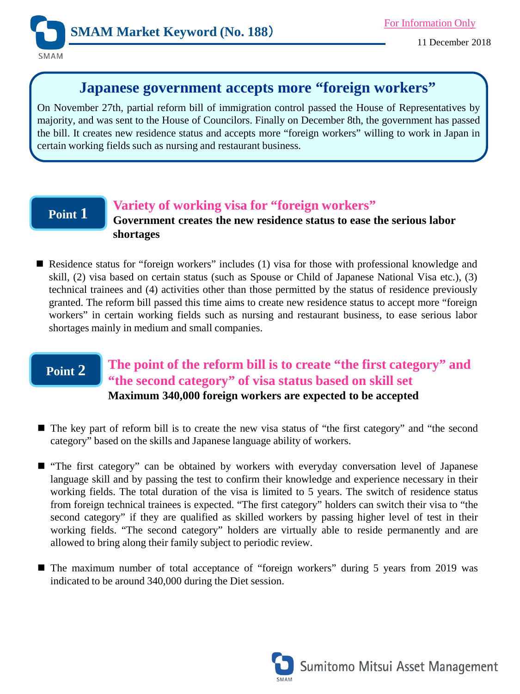

# **Japanese government accepts more "foreign workers"**

On November 27th, partial reform bill of immigration control passed the House of Representatives by majority, and was sent to the House of Councilors. Finally on December 8th, the government has passed the bill. It creates new residence status and accepts more "foreign workers" willing to work in Japan in certain working fields such as nursing and restaurant business.

## **Point 1**

#### **Variety of working visa for "foreign workers"**

**Government creates the new residence status to ease the serious labor shortages**

■ Residence status for "foreign workers" includes (1) visa for those with professional knowledge and skill, (2) visa based on certain status (such as Spouse or Child of Japanese National Visa etc.), (3) technical trainees and (4) activities other than those permitted by the status of residence previously granted. The reform bill passed this time aims to create new residence status to accept more "foreign workers" in certain working fields such as nursing and restaurant business, to ease serious labor shortages mainly in medium and small companies.

### **Point 2 The point of the reform bill is to create "the first category" and "the second category" of visa status based on skill set Maximum 340,000 foreign workers are expected to be accepted**

- The key part of reform bill is to create the new visa status of "the first category" and "the second category" based on the skills and Japanese language ability of workers.
- "The first category" can be obtained by workers with everyday conversation level of Japanese language skill and by passing the test to confirm their knowledge and experience necessary in their working fields. The total duration of the visa is limited to 5 years. The switch of residence status from foreign technical trainees is expected. "The first category" holders can switch their visa to "the second category" if they are qualified as skilled workers by passing higher level of test in their working fields. "The second category" holders are virtually able to reside permanently and are allowed to bring along their family subject to periodic review.
- The maximum number of total acceptance of "foreign workers" during 5 years from 2019 was indicated to be around 340,000 during the Diet session.